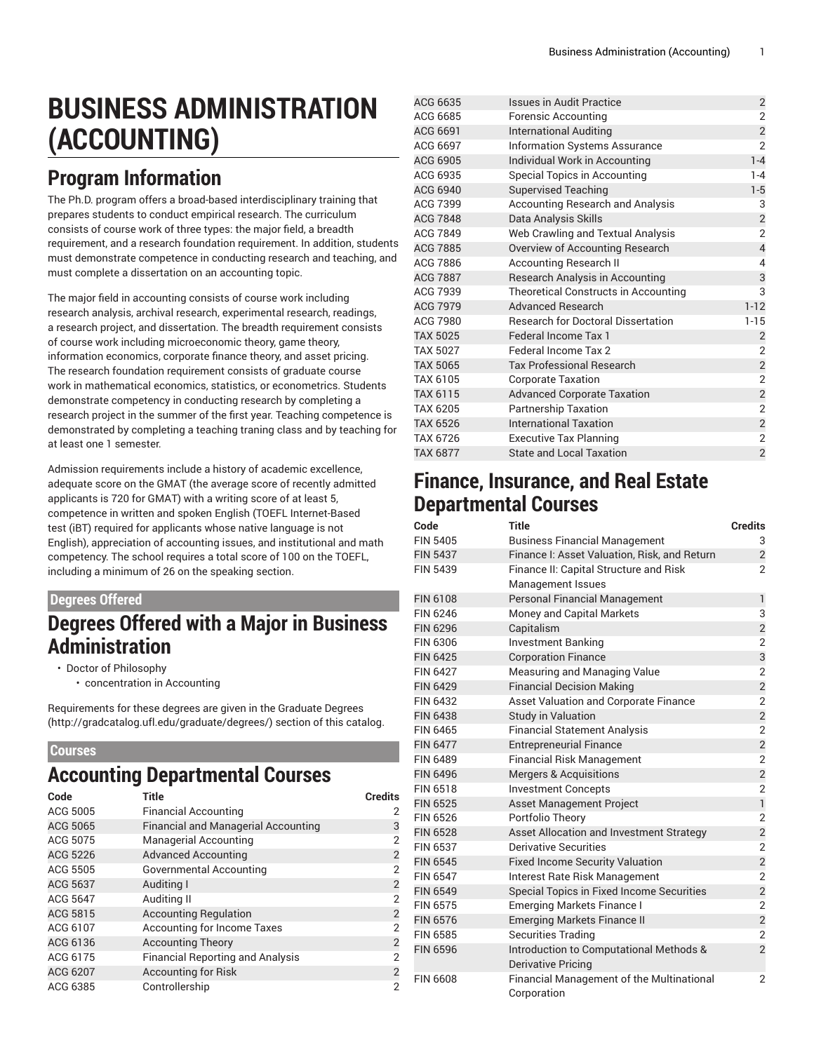# **BUSINESS ADMINISTRATION (ACCOUNTING)**

### **Program Information**

The Ph.D. program offers a broad-based interdisciplinary training that prepares students to conduct empirical research. The curriculum consists of course work of three types: the major field, a breadth requirement, and a research foundation requirement. In addition, students must demonstrate competence in conducting research and teaching, and must complete a dissertation on an accounting topic.

The major field in accounting consists of course work including research analysis, archival research, experimental research, readings, a research project, and dissertation. The breadth requirement consists of course work including microeconomic theory, game theory, information economics, corporate finance theory, and asset pricing. The research foundation requirement consists of graduate course work in mathematical economics, statistics, or econometrics. Students demonstrate competency in conducting research by completing a research project in the summer of the first year. Teaching competence is demonstrated by completing a teaching traning class and by teaching for at least one 1 semester.

Admission requirements include a history of academic excellence, adequate score on the GMAT (the average score of recently admitted applicants is 720 for GMAT) with a writing score of at least 5, competence in written and spoken English (TOEFL Internet-Based test (iBT) required for applicants whose native language is not English), appreciation of accounting issues, and institutional and math competency. The school requires a total score of 100 on the TOEFL, including a minimum of 26 on the speaking section.

#### **Degrees Offered**

### **Degrees Offered with a Major in Business Administration**

• Doctor of Philosophy

• concentration in Accounting

Requirements for these degrees are given in the [Graduate](http://gradcatalog.ufl.edu/graduate/degrees/) Degrees ([http://gradcatalog.ufl.edu/graduate/degrees/\)](http://gradcatalog.ufl.edu/graduate/degrees/) section of this catalog.

#### **Courses**

### **Accounting Departmental Courses**

| Code            | <b>Title</b>                               | <b>Credits</b> |
|-----------------|--------------------------------------------|----------------|
| ACG 5005        | <b>Financial Accounting</b>                |                |
| ACG 5065        | <b>Financial and Managerial Accounting</b> | 3              |
| ACG 5075        | <b>Managerial Accounting</b>               | $\overline{2}$ |
| ACG 5226        | <b>Advanced Accounting</b>                 | $\overline{2}$ |
| ACG 5505        | Governmental Accounting                    | $\overline{2}$ |
| ACG 5637        | Auditing I                                 | $\overline{2}$ |
| ACG 5647        | Auditing II                                | $\overline{2}$ |
| ACG 5815        | <b>Accounting Regulation</b>               | $\overline{2}$ |
| ACG 6107        | <b>Accounting for Income Taxes</b>         | $\overline{2}$ |
| ACG 6136        | <b>Accounting Theory</b>                   | $\overline{2}$ |
| ACG 6175        | <b>Financial Reporting and Analysis</b>    | $\overline{2}$ |
| <b>ACG 6207</b> | <b>Accounting for Risk</b>                 | $\overline{2}$ |
| ACG 6385        | Controllership                             | $\overline{2}$ |

| ACG 6635        | <b>Issues in Audit Practice</b>           | $\overline{\mathbf{c}}$  |
|-----------------|-------------------------------------------|--------------------------|
| ACG 6685        | Forensic Accounting                       | $\overline{2}$           |
| ACG 6691        | <b>International Auditing</b>             | $\overline{\mathbf{c}}$  |
| ACG 6697        | <b>Information Systems Assurance</b>      | $\overline{2}$           |
| ACG 6905        | Individual Work in Accounting             | $1 - 4$                  |
| ACG 6935        | Special Topics in Accounting              | $1 - 4$                  |
| ACG 6940        | <b>Supervised Teaching</b>                | $1 - 5$                  |
| ACG 7399        | <b>Accounting Research and Analysis</b>   | 3                        |
| <b>ACG 7848</b> | Data Analysis Skills                      | $\overline{\mathbf{c}}$  |
| ACG 7849        | Web Crawling and Textual Analysis         | $\overline{2}$           |
| <b>ACG 7885</b> | Overview of Accounting Research           | $\overline{\mathcal{L}}$ |
| ACG 7886        | <b>Accounting Research II</b>             | 4                        |
| <b>ACG 7887</b> | Research Analysis in Accounting           | 3                        |
| ACG 7939        | Theoretical Constructs in Accounting      | 3                        |
| ACG 7979        | <b>Advanced Research</b>                  | $1 - 12$                 |
| <b>ACG 7980</b> | <b>Research for Doctoral Dissertation</b> | $1 - 15$                 |
| <b>TAX 5025</b> | <b>Federal Income Tax 1</b>               | $\overline{2}$           |
| TAX 5027        | Federal Income Tax 2                      | $\overline{2}$           |
| <b>TAX 5065</b> | <b>Tax Professional Research</b>          | $\overline{\mathbf{c}}$  |
| TAX 6105        | <b>Corporate Taxation</b>                 | $\overline{2}$           |
| TAX 6115        | <b>Advanced Corporate Taxation</b>        | $\overline{c}$           |
| TAX 6205        | <b>Partnership Taxation</b>               | $\overline{2}$           |
| <b>TAX 6526</b> | <b>International Taxation</b>             | $\overline{\mathbf{c}}$  |
| TAX 6726        | <b>Executive Tax Planning</b>             | $\overline{2}$           |
| <b>TAX 6877</b> | <b>State and Local Taxation</b>           | $\overline{2}$           |

#### **Finance, Insurance, and Real Estate Departmental Courses**

| Code            | Title                                            | <b>Credits</b> |
|-----------------|--------------------------------------------------|----------------|
| <b>FIN 5405</b> | <b>Business Financial Management</b>             | 3              |
| <b>FIN 5437</b> | Finance I: Asset Valuation, Risk, and Return     | $\overline{2}$ |
| <b>FIN 5439</b> | Finance II: Capital Structure and Risk           | $\overline{2}$ |
|                 | <b>Management Issues</b>                         |                |
| <b>FIN 6108</b> | <b>Personal Financial Management</b>             | 1              |
| <b>FIN 6246</b> | Money and Capital Markets                        | 3              |
| <b>FIN 6296</b> | Capitalism                                       | $\overline{c}$ |
| FIN 6306        | <b>Investment Banking</b>                        | $\overline{2}$ |
| <b>FIN 6425</b> | <b>Corporation Finance</b>                       | 3              |
| <b>FIN 6427</b> | Measuring and Managing Value                     | $\overline{2}$ |
| <b>FIN 6429</b> | <b>Financial Decision Making</b>                 | $\overline{2}$ |
| FIN 6432        | <b>Asset Valuation and Corporate Finance</b>     | 2              |
| <b>FIN 6438</b> | <b>Study in Valuation</b>                        | $\overline{c}$ |
| <b>FIN 6465</b> | <b>Financial Statement Analysis</b>              | $\overline{2}$ |
| <b>FIN 6477</b> | <b>Entrepreneurial Finance</b>                   | $\overline{2}$ |
| <b>FIN 6489</b> | <b>Financial Risk Management</b>                 | $\overline{2}$ |
| <b>FIN 6496</b> | <b>Mergers &amp; Acquisitions</b>                | $\overline{c}$ |
| <b>FIN 6518</b> | <b>Investment Concepts</b>                       | $\overline{2}$ |
| <b>FIN 6525</b> | Asset Management Project                         | $\mathbf{1}$   |
| <b>FIN 6526</b> | Portfolio Theory                                 | $\overline{2}$ |
| <b>FIN 6528</b> | Asset Allocation and Investment Strategy         | $\overline{c}$ |
| <b>FIN 6537</b> | <b>Derivative Securities</b>                     | $\overline{2}$ |
| <b>FIN 6545</b> | <b>Fixed Income Security Valuation</b>           | $\overline{2}$ |
| <b>FIN 6547</b> | Interest Rate Risk Management                    | $\overline{2}$ |
| <b>FIN 6549</b> | Special Topics in Fixed Income Securities        | $\overline{c}$ |
| <b>FIN 6575</b> | <b>Emerging Markets Finance I</b>                | $\overline{2}$ |
| <b>FIN 6576</b> | <b>Emerging Markets Finance II</b>               | $\overline{c}$ |
| <b>FIN 6585</b> | <b>Securities Trading</b>                        | 2              |
| <b>FIN 6596</b> | Introduction to Computational Methods &          | $\overline{c}$ |
|                 | <b>Derivative Pricing</b>                        |                |
| <b>FIN 6608</b> | <b>Financial Management of the Multinational</b> | $\overline{2}$ |
|                 | Corporation                                      |                |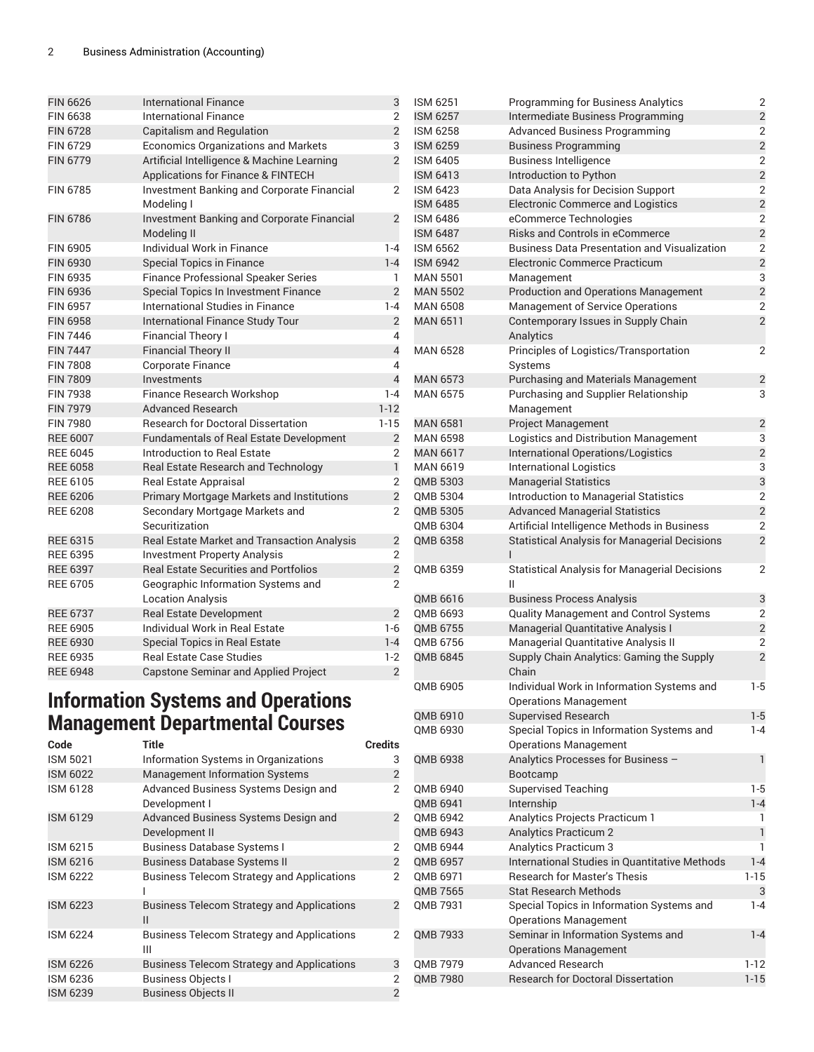| <b>International Finance</b>                                     | 3              |
|------------------------------------------------------------------|----------------|
| International Finance                                            | $\overline{2}$ |
| <b>Capitalism and Regulation</b>                                 | $\overline{2}$ |
| <b>Economics Organizations and Markets</b>                       | 3              |
| Artificial Intelligence & Machine Learning                       | $\overline{2}$ |
| Applications for Finance & FINTECH                               |                |
| Investment Banking and Corporate Financial<br>Modeling I         | $\overline{2}$ |
| <b>Investment Banking and Corporate Financial</b><br>Modeling II | $\overline{2}$ |
| Individual Work in Finance                                       | $1 - 4$        |
| <b>Special Topics in Finance</b>                                 | $1 - 4$        |
| <b>Finance Professional Speaker Series</b>                       | 1              |
| Special Topics In Investment Finance                             | $\overline{2}$ |
| International Studies in Finance                                 | $1 - 4$        |
| International Finance Study Tour                                 | $\overline{2}$ |
| <b>Financial Theory I</b>                                        | 4              |
| <b>Financial Theory II</b>                                       | $\overline{4}$ |
| <b>Corporate Finance</b>                                         | 4              |
| Investments                                                      | $\overline{4}$ |
| Finance Research Workshop                                        | $1 - 4$        |
| Advanced Research                                                | $1 - 12$       |
| <b>Research for Doctoral Dissertation</b>                        | $1 - 15$       |
| Fundamentals of Real Estate Development                          | $\overline{2}$ |
| Introduction to Real Estate                                      | 2              |
| Real Estate Research and Technology                              | $\mathbf{1}$   |
| <b>Real Estate Appraisal</b>                                     | $\overline{2}$ |
| <b>Primary Mortgage Markets and Institutions</b>                 | $\overline{2}$ |
| Secondary Mortgage Markets and<br>Securitization                 | $\overline{2}$ |
| Real Estate Market and Transaction Analysis                      | $\overline{2}$ |
| <b>Investment Property Analysis</b>                              | $\overline{2}$ |
| <b>Real Estate Securities and Portfolios</b>                     | $\overline{c}$ |
| Geographic Information Systems and                               | $\overline{2}$ |
| <b>Location Analysis</b>                                         |                |
| Real Estate Development                                          | $\overline{2}$ |
| Individual Work in Real Estate                                   | $1-6$          |
| Special Topics in Real Estate                                    | $1 - 4$        |
| <b>Real Estate Case Studies</b>                                  | $1-2$          |
| <b>Capstone Seminar and Applied Project</b>                      | $\overline{2}$ |
|                                                                  |                |

#### **Information Systems and Operations Management Departmental Courses**

| Code            | <b>Title</b>                                           | <b>Credits</b> |
|-----------------|--------------------------------------------------------|----------------|
| <b>ISM 5021</b> | Information Systems in Organizations                   | 3              |
| <b>ISM 6022</b> | <b>Management Information Systems</b>                  | $\overline{2}$ |
| <b>ISM 6128</b> | Advanced Business Systems Design and<br>Development I  | 2              |
| <b>ISM 6129</b> | Advanced Business Systems Design and<br>Development II | $\overline{2}$ |
| ISM 6215        | <b>Business Database Systems I</b>                     | 2              |
| <b>ISM 6216</b> | <b>Business Database Systems II</b>                    | $\overline{2}$ |
| <b>ISM 6222</b> | <b>Business Telecom Strategy and Applications</b>      | 2              |
| <b>ISM 6223</b> | <b>Business Telecom Strategy and Applications</b><br>Ш | $\overline{2}$ |
| <b>ISM 6224</b> | <b>Business Telecom Strategy and Applications</b><br>Ш | $\overline{2}$ |
| <b>ISM 6226</b> | <b>Business Telecom Strategy and Applications</b>      | 3              |
| <b>ISM 6236</b> | <b>Business Objects I</b>                              | $\overline{2}$ |
| <b>ISM 6239</b> | <b>Business Objects II</b>                             | $\overline{2}$ |

| <b>ISM 6251</b> | <b>Programming for Business Analytics</b>                                 | 2                       |
|-----------------|---------------------------------------------------------------------------|-------------------------|
| <b>ISM 6257</b> | Intermediate Business Programming                                         | $\overline{c}$          |
| ISM 6258        | <b>Advanced Business Programming</b>                                      | $\overline{2}$          |
| <b>ISM 6259</b> | <b>Business Programming</b>                                               | $\overline{c}$          |
| ISM 6405        | <b>Business Intelligence</b>                                              | $\overline{2}$          |
| <b>ISM 6413</b> | Introduction to Python                                                    | $\overline{c}$          |
| <b>ISM 6423</b> | Data Analysis for Decision Support                                        | $\overline{2}$          |
| <b>ISM 6485</b> | <b>Electronic Commerce and Logistics</b>                                  | $\overline{c}$          |
| ISM 6486        | eCommerce Technologies                                                    | $\overline{2}$          |
| <b>ISM 6487</b> | <b>Risks and Controls in eCommerce</b>                                    | $\overline{2}$          |
| ISM 6562        | <b>Business Data Presentation and Visualization</b>                       | $\overline{2}$          |
| <b>ISM 6942</b> | Electronic Commerce Practicum                                             | $\overline{c}$          |
| <b>MAN 5501</b> | Management                                                                | 3                       |
| <b>MAN 5502</b> | <b>Production and Operations Management</b>                               | $\overline{c}$          |
| MAN 6508        | Management of Service Operations                                          | $\overline{2}$          |
| MAN 6511        | Contemporary Issues in Supply Chain                                       | $\overline{2}$          |
|                 | Analytics                                                                 |                         |
| <b>MAN 6528</b> |                                                                           | $\overline{2}$          |
|                 | Principles of Logistics/Transportation                                    |                         |
|                 | Systems                                                                   |                         |
| <b>MAN 6573</b> | <b>Purchasing and Materials Management</b>                                | $\overline{c}$          |
| MAN 6575        | Purchasing and Supplier Relationship                                      | 3                       |
|                 | Management                                                                |                         |
| <b>MAN 6581</b> | <b>Project Management</b>                                                 | $\overline{c}$          |
| MAN 6598        | Logistics and Distribution Management                                     | 3                       |
| <b>MAN 6617</b> | International Operations/Logistics                                        | $\overline{c}$          |
| MAN 6619        | <b>International Logistics</b>                                            | 3                       |
| QMB 5303        | <b>Managerial Statistics</b>                                              | 3                       |
| QMB 5304        | Introduction to Managerial Statistics                                     | $\overline{2}$          |
| QMB 5305        | <b>Advanced Managerial Statistics</b>                                     | $\overline{c}$          |
| QMB 6304        | Artificial Intelligence Methods in Business                               | $\overline{2}$          |
| QMB 6358        | <b>Statistical Analysis for Managerial Decisions</b><br>ı                 | $\overline{2}$          |
| QMB 6359        | <b>Statistical Analysis for Managerial Decisions</b><br>Ш                 | 2                       |
| QMB 6616        | <b>Business Process Analysis</b>                                          | 3                       |
| QMB 6693        | Quality Management and Control Systems                                    | 2                       |
| QMB 6755        | Managerial Quantitative Analysis I                                        | $\overline{\mathbf{c}}$ |
| QMB 6756        | Managerial Quantitative Analysis II                                       | $\overline{2}$          |
| QMB 6845        | Supply Chain Analytics: Gaming the Supply                                 | $\overline{2}$          |
|                 | Chain                                                                     |                         |
| OMB 6905        | Individual Work in Information Systems and                                | $1-5$                   |
|                 | <b>Operations Management</b>                                              |                         |
| QMB 6910        | <b>Supervised Research</b>                                                | $1 - 5$                 |
| QMB 6930        | Special Topics in Information Systems and<br><b>Operations Management</b> | $1 - 4$                 |
| QMB 6938        | Analytics Processes for Business -                                        | $\mathbf{1}$            |
|                 | Bootcamp                                                                  |                         |
| QMB 6940        | <b>Supervised Teaching</b>                                                | $1-5$                   |
| QMB 6941        | Internship                                                                | $1 - 4$                 |
| QMB 6942        | Analytics Projects Practicum 1                                            | 1                       |
| QMB 6943        | <b>Analytics Practicum 2</b>                                              | $\mathbf{1}$            |
| QMB 6944        | Analytics Practicum 3                                                     | 1                       |
| QMB 6957        | International Studies in Quantitative Methods                             | $1 - 4$                 |
| QMB 6971        | <b>Research for Master's Thesis</b>                                       | $1 - 15$                |
| QMB 7565        | <b>Stat Research Methods</b>                                              | 3                       |
| QMB 7931        | Special Topics in Information Systems and                                 | $1 - 4$                 |
|                 | <b>Operations Management</b>                                              |                         |
| QMB 7933        | Seminar in Information Systems and                                        | $1 - 4$                 |
|                 | <b>Operations Management</b>                                              |                         |
| QMB 7979        | <b>Advanced Research</b>                                                  | $1 - 12$                |
|                 | <b>Research for Doctoral Dissertation</b>                                 | $1 - 15$                |
| QMB 7980        |                                                                           |                         |
|                 |                                                                           |                         |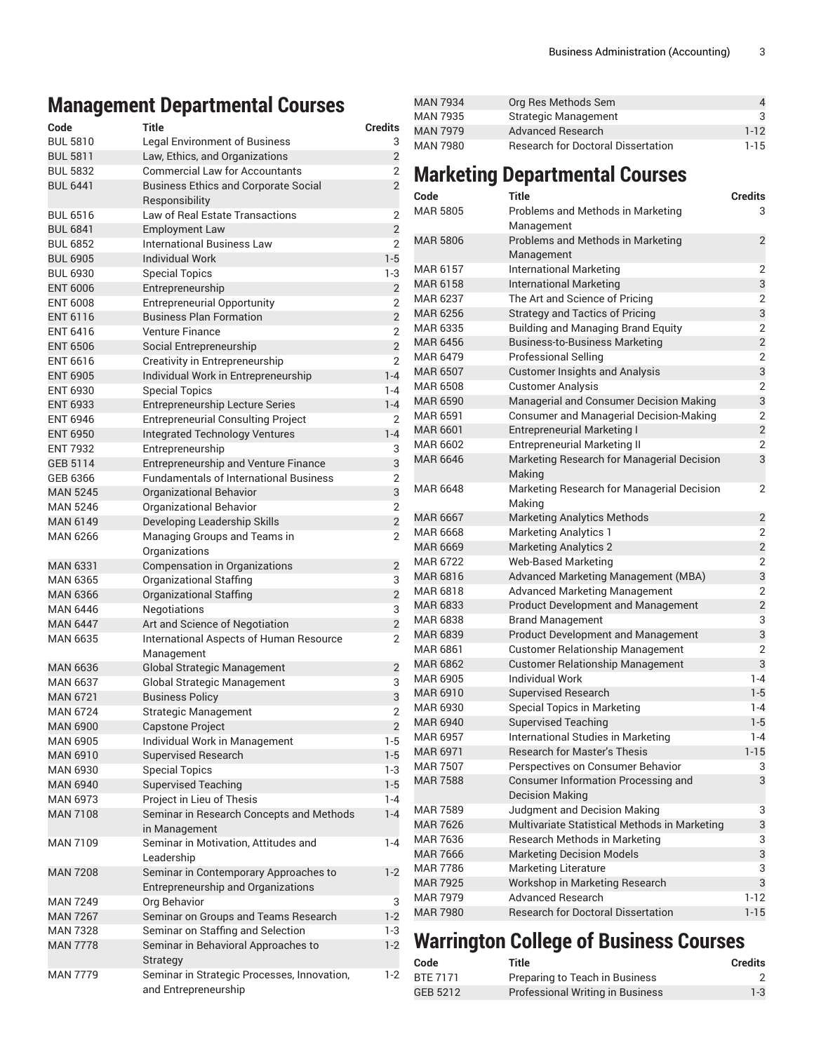## **Management Departmental Courses**

| Code            | Title                                                                | <b>Credits</b> |
|-----------------|----------------------------------------------------------------------|----------------|
| <b>BUL 5810</b> | <b>Legal Environment of Business</b>                                 | 3              |
| <b>BUL 5811</b> | Law, Ethics, and Organizations                                       | $\overline{2}$ |
| <b>BUL 5832</b> | <b>Commercial Law for Accountants</b>                                | 2              |
| <b>BUL 6441</b> | <b>Business Ethics and Corporate Social</b>                          | $\overline{2}$ |
|                 | Responsibility                                                       |                |
| <b>BUL 6516</b> | Law of Real Estate Transactions                                      | 2              |
| <b>BUL 6841</b> | <b>Employment Law</b>                                                | $\overline{c}$ |
| <b>BUL 6852</b> | International Business Law                                           | 2              |
| <b>BUL 6905</b> | <b>Individual Work</b>                                               | $1 - 5$        |
| <b>BUL 6930</b> | <b>Special Topics</b>                                                | 1-3            |
| <b>ENT 6006</b> | Entrepreneurship                                                     | $\overline{2}$ |
| <b>ENT 6008</b> |                                                                      | 2              |
| <b>ENT 6116</b> | <b>Entrepreneurial Opportunity</b><br><b>Business Plan Formation</b> | $\overline{2}$ |
|                 |                                                                      | 2              |
| <b>ENT 6416</b> | Venture Finance                                                      |                |
| <b>ENT 6506</b> | Social Entrepreneurship                                              | $\overline{2}$ |
| <b>ENT 6616</b> | Creativity in Entrepreneurship                                       | $\overline{2}$ |
| <b>ENT 6905</b> | Individual Work in Entrepreneurship                                  | $1 - 4$        |
| <b>ENT 6930</b> | <b>Special Topics</b>                                                | $1 - 4$        |
| <b>ENT 6933</b> | <b>Entrepreneurship Lecture Series</b>                               | $1 - 4$        |
| <b>ENT 6946</b> | <b>Entrepreneurial Consulting Project</b>                            | 2              |
| <b>ENT 6950</b> | <b>Integrated Technology Ventures</b>                                | $1 - 4$        |
| <b>ENT 7932</b> | Entrepreneurship                                                     | 3              |
| GEB 5114        | Entrepreneurship and Venture Finance                                 | 3              |
| GEB 6366        | <b>Fundamentals of International Business</b>                        | 2              |
| <b>MAN 5245</b> | <b>Organizational Behavior</b>                                       | 3              |
| <b>MAN 5246</b> | Organizational Behavior                                              | $\overline{2}$ |
| <b>MAN 6149</b> | Developing Leadership Skills                                         | $\overline{2}$ |
| <b>MAN 6266</b> | Managing Groups and Teams in                                         | 2              |
|                 | Organizations                                                        |                |
| <b>MAN 6331</b> | Compensation in Organizations                                        | 2              |
| <b>MAN 6365</b> | <b>Organizational Staffing</b>                                       | 3              |
| <b>MAN 6366</b> | Organizational Staffing                                              | $\overline{c}$ |
| <b>MAN 6446</b> | Negotiations                                                         | 3              |
| <b>MAN 6447</b> | Art and Science of Negotiation                                       | $\overline{2}$ |
| <b>MAN 6635</b> | International Aspects of Human Resource                              | 2              |
|                 | Management                                                           |                |
| <b>MAN 6636</b> | <b>Global Strategic Management</b>                                   | 2              |
| <b>MAN 6637</b> | <b>Global Strategic Management</b>                                   | 3              |
| <b>MAN 6721</b> |                                                                      | 3              |
|                 | <b>Business Policy</b>                                               | $\overline{2}$ |
| <b>MAN 6724</b> | <b>Strategic Management</b>                                          |                |
| <b>MAN 6900</b> | Capstone Project                                                     | $\overline{2}$ |
| <b>MAN 6905</b> | Individual Work in Management                                        | $1-5$          |
| <b>MAN 6910</b> | <b>Supervised Research</b>                                           | $1 - 5$        |
| <b>MAN 6930</b> | <b>Special Topics</b>                                                | 1-3            |
| <b>MAN 6940</b> | <b>Supervised Teaching</b>                                           | $1 - 5$        |
| <b>MAN 6973</b> | Project in Lieu of Thesis                                            | $1 - 4$        |
| <b>MAN 7108</b> | Seminar in Research Concepts and Methods                             | $1 - 4$        |
|                 | in Management                                                        |                |
| <b>MAN 7109</b> | Seminar in Motivation, Attitudes and                                 | $1 - 4$        |
|                 | Leadership                                                           |                |
| <b>MAN 7208</b> | Seminar in Contemporary Approaches to                                | $1-2$          |
|                 | Entrepreneurship and Organizations                                   |                |
| <b>MAN 7249</b> | Org Behavior                                                         | 3              |
| <b>MAN 7267</b> | Seminar on Groups and Teams Research                                 | $1-2$          |
| <b>MAN 7328</b> | Seminar on Staffing and Selection                                    | 1-3            |
| <b>MAN 7778</b> | Seminar in Behavioral Approaches to                                  | $1 - 2$        |
|                 | Strategy                                                             |                |
| <b>MAN 7779</b> | Seminar in Strategic Processes, Innovation,                          | $1-2$          |
|                 | and Entrepreneurship                                                 |                |

| MAN 7934        | Org Res Methods Sem                       | 4        |
|-----------------|-------------------------------------------|----------|
| MAN 7935        | <b>Strategic Management</b>               | З.       |
| <b>MAN 7979</b> | Advanced Research                         | $1 - 12$ |
| MAN 7980        | <b>Research for Doctoral Dissertation</b> | $1-15$   |

# **Marketing Departmental Courses**

| Code            | Title                                                                | <b>Credits</b> |
|-----------------|----------------------------------------------------------------------|----------------|
| <b>MAR 5805</b> | Problems and Methods in Marketing<br>Management                      | 3              |
| <b>MAR 5806</b> | Problems and Methods in Marketing<br>Management                      | $\overline{2}$ |
| MAR 6157        | <b>International Marketing</b>                                       | 2              |
| MAR 6158        | <b>International Marketing</b>                                       | 3              |
| MAR 6237        | The Art and Science of Pricing                                       | 2              |
| <b>MAR 6256</b> | <b>Strategy and Tactics of Pricing</b>                               | 3              |
| MAR 6335        | <b>Building and Managing Brand Equity</b>                            | 2              |
| <b>MAR 6456</b> | <b>Business-to-Business Marketing</b>                                | $\overline{2}$ |
| <b>MAR 6479</b> | <b>Professional Selling</b>                                          | $\overline{2}$ |
| <b>MAR 6507</b> | <b>Customer Insights and Analysis</b>                                | 3              |
| <b>MAR 6508</b> | <b>Customer Analysis</b>                                             | 2              |
| <b>MAR 6590</b> | Managerial and Consumer Decision Making                              | 3              |
| <b>MAR 6591</b> | <b>Consumer and Managerial Decision-Making</b>                       | 2              |
| <b>MAR 6601</b> | <b>Entrepreneurial Marketing I</b>                                   | $\overline{2}$ |
| MAR 6602        | <b>Entrepreneurial Marketing II</b>                                  | 2              |
| <b>MAR 6646</b> | Marketing Research for Managerial Decision<br>Making                 | 3              |
| MAR 6648        | Marketing Research for Managerial Decision<br>Making                 | 2              |
| <b>MAR 6667</b> | <b>Marketing Analytics Methods</b>                                   | $\overline{2}$ |
| <b>MAR 6668</b> | <b>Marketing Analytics 1</b>                                         | 2              |
| <b>MAR 6669</b> | <b>Marketing Analytics 2</b>                                         | $\overline{2}$ |
| MAR 6722        | <b>Web-Based Marketing</b>                                           | 2              |
| MAR 6816        | Advanced Marketing Management (MBA)                                  | 3              |
| MAR 6818        | <b>Advanced Marketing Management</b>                                 | 2              |
| MAR 6833        | <b>Product Development and Management</b>                            | $\overline{2}$ |
| MAR 6838        | <b>Brand Management</b>                                              | 3              |
| <b>MAR 6839</b> | <b>Product Development and Management</b>                            | 3              |
| MAR 6861        | <b>Customer Relationship Management</b>                              | $\overline{2}$ |
| <b>MAR 6862</b> | <b>Customer Relationship Management</b>                              | 3              |
| <b>MAR 6905</b> | <b>Individual Work</b>                                               | $1 - 4$        |
| MAR 6910        | <b>Supervised Research</b>                                           | $1 - 5$        |
| MAR 6930        | <b>Special Topics in Marketing</b>                                   | $1 - 4$        |
| <b>MAR 6940</b> | <b>Supervised Teaching</b>                                           | $1 - 5$        |
| <b>MAR 6957</b> | International Studies in Marketing                                   | $1 - 4$        |
| <b>MAR 6971</b> | <b>Research for Master's Thesis</b>                                  | $1 - 15$       |
| <b>MAR 7507</b> | Perspectives on Consumer Behavior                                    | 3              |
| <b>MAR 7588</b> | <b>Consumer Information Processing and</b><br><b>Decision Making</b> | 3              |
| <b>MAR 7589</b> | Judgment and Decision Making                                         | 3              |
| <b>MAR 7626</b> | Multivariate Statistical Methods in Marketing                        | 3              |
| <b>MAR 7636</b> | Research Methods in Marketing                                        | 3              |
| <b>MAR 7666</b> | <b>Marketing Decision Models</b>                                     | 3              |
| <b>MAR 7786</b> | <b>Marketing Literature</b>                                          | 3              |
| <b>MAR 7925</b> | Workshop in Marketing Research                                       | 3              |
| <b>MAR 7979</b> | <b>Advanced Research</b>                                             | $1-12$         |
| <b>MAR 7980</b> | <b>Research for Doctoral Dissertation</b>                            | $1 - 15$       |

# **Warrington College of Business Courses**

| Code     | Title                                   | Credits |
|----------|-----------------------------------------|---------|
| BTE 7171 | Preparing to Teach in Business          |         |
| GEB 5212 | <b>Professional Writing in Business</b> | $1 - 3$ |